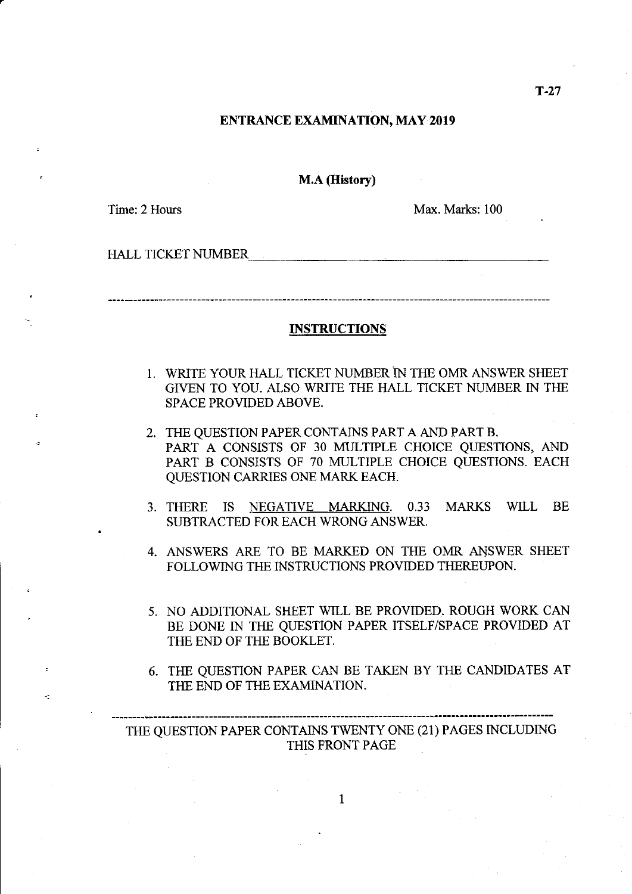#### ENTRANCE EXAMINATION, MAY 2019

M.A (History)

Time: 2 Hours

 $\frac{1}{2}$ 

Max- Marks: 100

HALL TICKET NUMBER THE RESERVE OF THE RESERVE OF THE RESERVE OF THE RESERVE OF THE RESERVE OF THE RESERVE OF THE RESERVE OF THE RESERVE OF THE RESERVE OF THE RESERVE OF THE RESERVE OF THE RESERVE OF THE RESERVE OF THE RESE

#### **INSTRUCTIONS**

- 1. WRITE YOUR HALL TICKET NUMBER IN THE OMR ANSWER SHEET GIVEN TO YOU. ALSO WRITE THE HALL TICKET NUMBER IN THE SPACE PROVIDED ABOVE.
- 2. THE QUESTION PAPER CONTAINS PART A AND PART B. PART A CONSISTS OF 30 MULTIPLE CHOICE QUESTIONS, AND PART B CONSISTS OF 70 MULTIPLE CHOICE QUESTIONS. EACH QUESTION CARRIES ONE MARK EACH.
- 3. THERE IS NEGATIVE MARKING. 0.33 MARKS WILL BE SUBTRACTED FOR EACH WRONG ANSWER,
- 4. ANSWERS ARE TO BE MARKED ON THE OMR ANSWER SHEET FOLLOWING THE INSTRUCTIONS PROVIDED THEREUPON.
- 5. NO ADDITIONAL SHEET WILL BE PROVIDED. ROUGH WORK CAN BE DONE IN THE QUESTION PAPER ITSELF/SPACE PROVIDED AT THE END OF THE BOOKLET.
- 6. THE QUESTION PAPER CAN BE TAKEN BY THE CANDIDATES AT THE END OF THE EXAMINATION.

THE QUESTION PAPER CONTAINS TWENTY ONE (21) PAGES INCLUDING THIS FRONT PAGE

 $\mathbf{1}$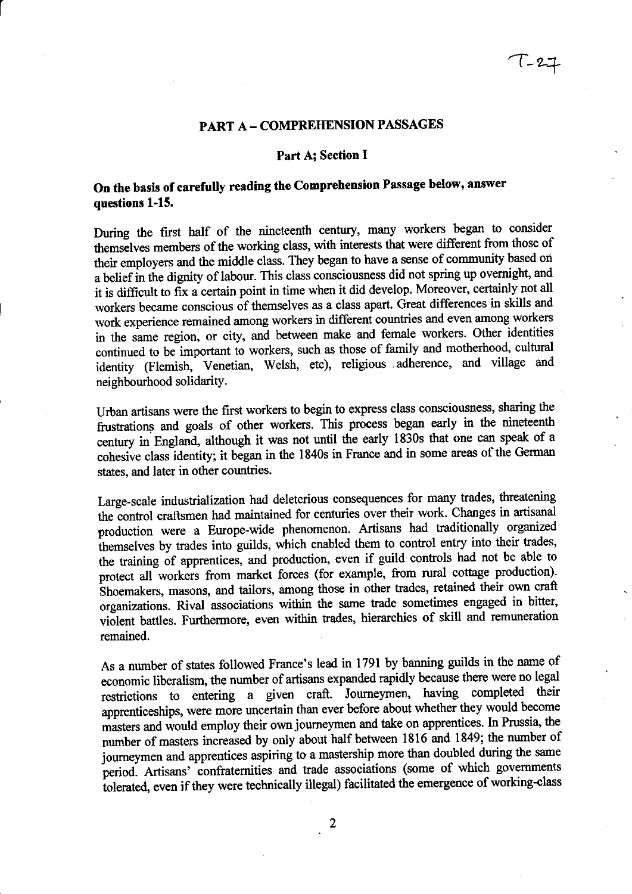### PART A - COMPREHENSION PASSAGES

#### Part A; Section I

### On the basis of carefully reading the Comprehension Passage below, answer questions 1-15.

During the first half of the nineteenth century, many workers began to consider themselves members of the working class, with interests that were different from those of their employers and the middle class. They began to have a sense of community based ori a belief in the dignity of labour. This class consciousness did not spring up overnight, and it is difficult to fix a certain point in time when it did develop. Moreover, certainly not all workers became conscious of themselves as a class apart. Great differences in skills and work experience remained among workers in different countries and even among workers in the same region, or city, and between make and female workers. other identities continued to be important io workers, such as those of family and motherhood, cultural identity (Flemish, Venetian, Welsh, etc), religious adherence, and village and neighbourhood solidarity.

Urban artisans were the first workers to begin to express class consciousness, sharing the frustrations and goals of other workers. This process began early in the nineteenth century in England, although it was not until the early 1830s that one can speak of a cohesive class-identity; it began in the 1840s in France and in some areas of the German states, and later in other countries.

Large-scale industrialization had deleterious consequences for many trades, threatening the control craftsmen had maintained for centuries over their work. Changes in artisana production were a Europe-wide phenomenon, Artisans had traditionally organized themselves by trades into guilds, which enabled them to control entry into their trades, the training of apprentices, and production, even if guild contols had not be able to protect all workers from market forces (for example, from rural cottage production). Shoemakers, masons, and tailors, among those in other trades, retained their own craft organizations. Rival associations within the same trade sometimes engaged in bitter, violent battles. Furthermore, even within trades, hierarchies of skill and remuneration remained.

As a number of states followed France's lead in 1791 by banning guilds in the name of economic liberalism, the number of artisans expanded rapidly because there were no legal restrictions to entering a given craft. Journeymen, having completed their apprenticeships, were more uncertain than ever before about whether they would become masters and would employ their own journeymen and take on apprentices. In Prussia, the number of masters increased by only about half between 1816 and 1849; the number of journeymen and apprentices aspiring to a mastership more than doubled during the same period. Artisans' confraternities and trade associations (some of which governments tolerated, even if they were technically illegal) facilitated the emergence of working-class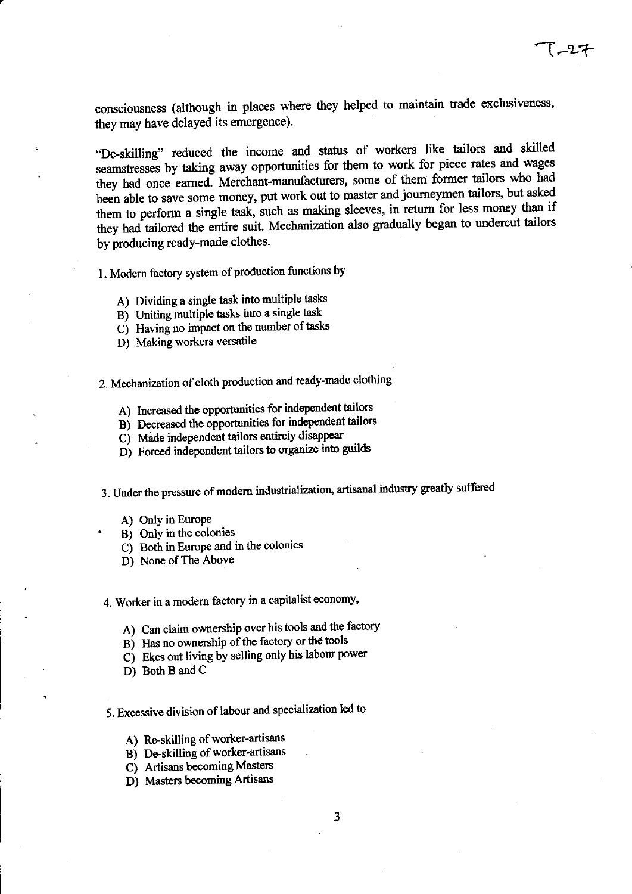consciousness (although in places where they helped to maintain trade exclusiveness, they may have delayed its emergence).

..De-skilling" reduced the income and status of workers like tailors and skilled seamstresses by taking away opportunities for them to work for piece rates and wages they had once earned. Merchant-manufacturers, some of them former tailors who had been able to save some money, put work out to master and journeymen tailors, but asked them to perform a single task, such as making sleeves, in return for less money than if they had tailored the entire suit. Mechanization also gradually began to undercut tailors by producing ready-made clothes.

l. Modem factory system of production functions by

- A) Dividing a single task into multiple tasks
- B) Uniting multiple tasks into a single task
- C) Having no impact on the number of tasks
- D) Making workers versatile

2. Mechanization of cloth production and ready-made clothing

- A) Increased the opportunities for independent tailors
- B) Decreased the opportunities for independent tailors
- C) Mide independent tailors entirely disappear
- C) Made independent tailors entirely disappear<br>D) Forced independent tailors to organize into guilds

3. Under the pressure of modern industrialization, artisanal industry greatly suffered

- A) Only in Europe
- B) Only in the colonies
- C) Both in Europe and in the colonies
- D) None of The Above

4. Worker in a modem factory in a capitalist economy,

A) Can claim ownership over his tools and the factory

- B) Has no ownership of the factory or the tools
- C) Ekes out living by selling only his labour power
- D) Both B and C

5. Excessive division of labour and specialization led to

- A) Re-skilling of worker-artisans
- B) De-skilling of worker-artisans
- C) Artisans becoming Masters
- D) Masters becoming Artisans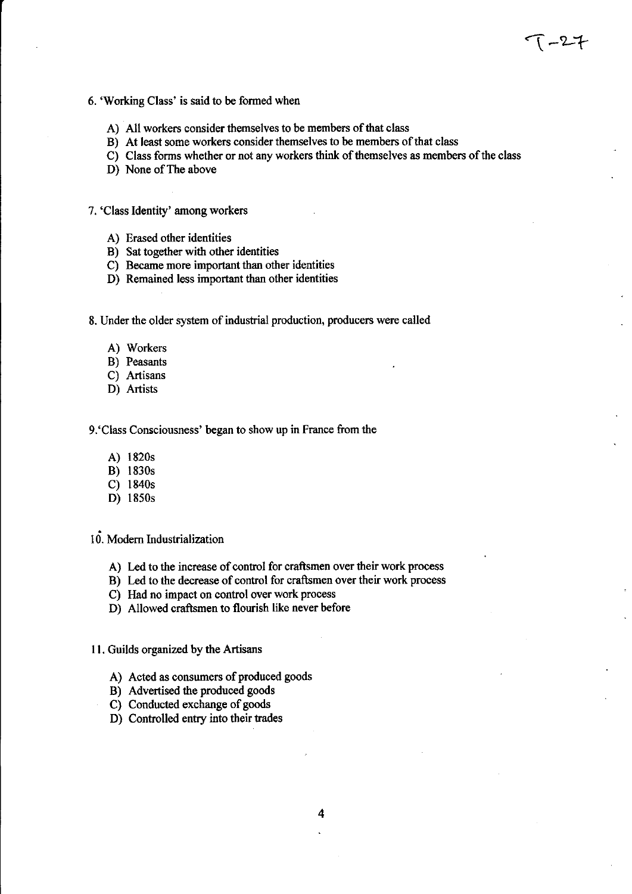- 6. 'Working Class' is said to be formed when
	- A) All workers consider themselves to be members of that class
	- B) At least some workers consider themselves to be members of that class
	- C) Class forms whetler or not any workers think of themselves as members of the class

1 -27

- D) None of The above
- 7. 'Class Identity' among workers
	- A) Erased other identities
	- B) Sat together with other identities
	- C) Became more important than other identities
	- D) Remained less important than other identities
- 8. Under the older system of industrial production, producers were called
	- A) Workers
	- B) Peasants
	- C) Artisans
	- D) Artists

9.'Class Consciousness' began to show up in France from the

- A) 1820s
- B) 1830s
- C) 1840s
- D) 1850s
- <sup>I</sup>d. Modern Industrialization
	- A) Led to the increase of control for craftsmen over their work process
	- B) Led to the decrease of control for craftsmen over their work process
	- C) Had no impact on control over work process
	- D) Atlowed craftsmen to flourish like never before
- 11. Guilds organized by the Artisans
	- A) Acted as consumers of produced goods
	- B) Advertised the produced goods
	- C) Conducted exchange of goods
	- D) Controlled entry into their trades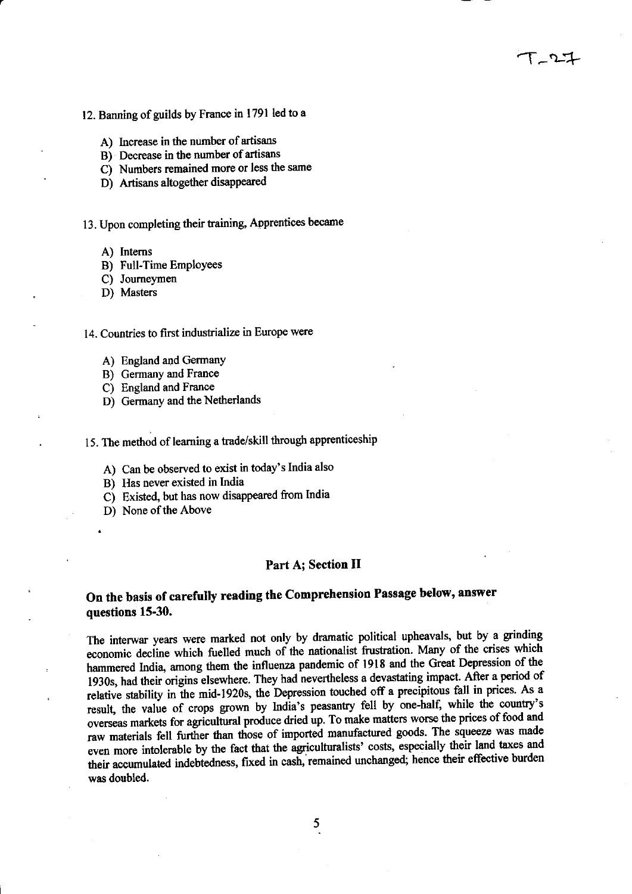- A) Increase in the number of artisans
- B) Decrease in the number of artisans
- C) Numbers remained more or less the same
- D) Artisans altogether disappeared

### 13. Upon completing their training, Apprentices became

- A) Intems
- B) Full-Time Employees
- C) Joumeymen
- D) Masters

#### 14. Countries to first industrialize in Europe were

- A) England and GermanY
- B) Germany and France
- C) England and France
- D) Germany and the Netherlands

### 15. The method of learning a trade/skill through apprenticeship

- A) Can be observed to exist in today's India also
- B) Has never existed in lndia
- C) Existed, but has now disappeared fiom India
- D) None of the Above

.D)

#### Part A; Section II

 $T - 2 - 1$ 

### On the basis of carefully reading the Comprehension Passage below, answer questions 15-30.

The interwar years were marked not only by dramatic political upheavals, but by a grinding economic decline which fuelled much of the nationalist frustration. Many of the crises which hammered India, among them the influenza pandemic of 1918 and the Great Depression of the itemeted finds, anong them the They had nevertheless a devastating impact. After a period of 1930s, had their origins elsewhere. They had nevertheless a devastating impact. After a period of relative stability in the mid-1920s, the Depression touched off a precipitous fall in prices. As a result, the value of crops grown by India's peasantry fell by one-half, while the country's result, the value of clops grown by fiding b peasaling that by the alleger energy of food and<br>overseas markets for agricultural produce dried up. To make matters worse the prices of food and raw materials fell further than those of imported manufactured goods. The squeeze was made even more intolerable by the fact that the agriculturalists' costs, especially their land taxes and the material independent by the fact that the agriculturalists' costs, especially their land taxes and their accumulated indebtedness, fixed in cash, remained unchanged; hence their effective burden was doubled.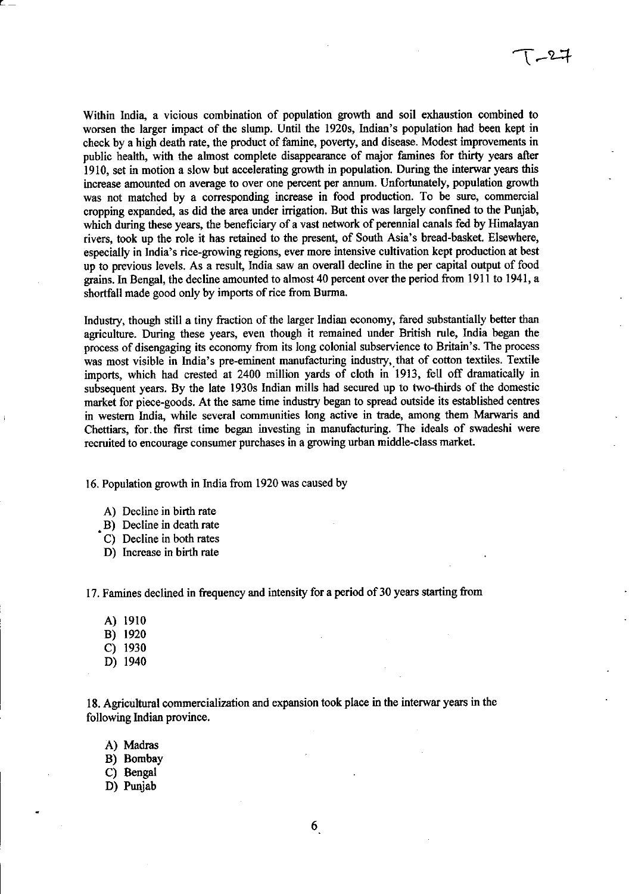Within India, a vicious combination of population growth and soil exhaustion combined to worsen the larger impact of the slump. Until the 1920s, Indian's population had been kept in check by a high death rate, the product of famine, poverty, and disease. Modest improvements in public health, with the alnost complete disappearance of major famines for thirty years after 1910, set in motion a slow but accelerating growth in population. During the interwar years this increase amounted on average to over one percent per armum. Unfortunately, population growth was not matched by a corresponding increase in food production. To be sure, commercial cropping expanded, as did the area under irrigation. But this was largely confined to the Punjab, which during these years, the beneficiary of a vast network of perennial canals fed by Himalayan rivers, took up the role it has retained to the present, of South Asia's bread-basket. Elsewhere, especially in India's rice-growing regions, ever more intensive cultivation kept production at best up to previous levels. As a result, India saw an overall decline in the per capital output of food grains. In Bengal, the decline amounted to almost 40 percent over the period from 1911 to 1941, a<br>shortfoll made sood only by imports of rise from Burma shortfall made good only by imports of rice from Burma.

Industry, though still a tiny fraction of the larger Indian economy, fared substantially better than agriculture. During these years, even though it remained under British rule, India began the process of disengaging its economy from its long colonial subservience to Britain's. The process was most visible in India's pre-eminent manufacturing industry, that of cotton textiles. Textile imports, which had crested at 2400 million yards of cloth in 1913, fell off dramatically in subsequent years. By the late 1930s Indian mills had secured up to two-thirds of the domestic market for piece-goods. At the same time industry began to spread outside its established centres in westem India, while several communities long active in tade, among them Marwaris and Chettiars, for the first time began investing in manufacturing. The ideals of swadeshi were recruited to encourage consumer purchases in a growing urban middle-class market.

16. Population growth in India from 1920 was caused by

- A) Decline in birth rate
- . B) Decline in death rate
- C) Decline in both rates
- D) lncrease in birth rate

17. Famines declined in frequency and intensity for a period of30 years starting from

- A) l9l0
- B) <sup>1920</sup>
- c) <sup>1930</sup>
- D) <sup>1940</sup>

18. Agricultural commercialization and expansion took place in the interwar years in the following Indian province.

- A) Madras
- B) Bombay
- C) Bengal
- D) Punjab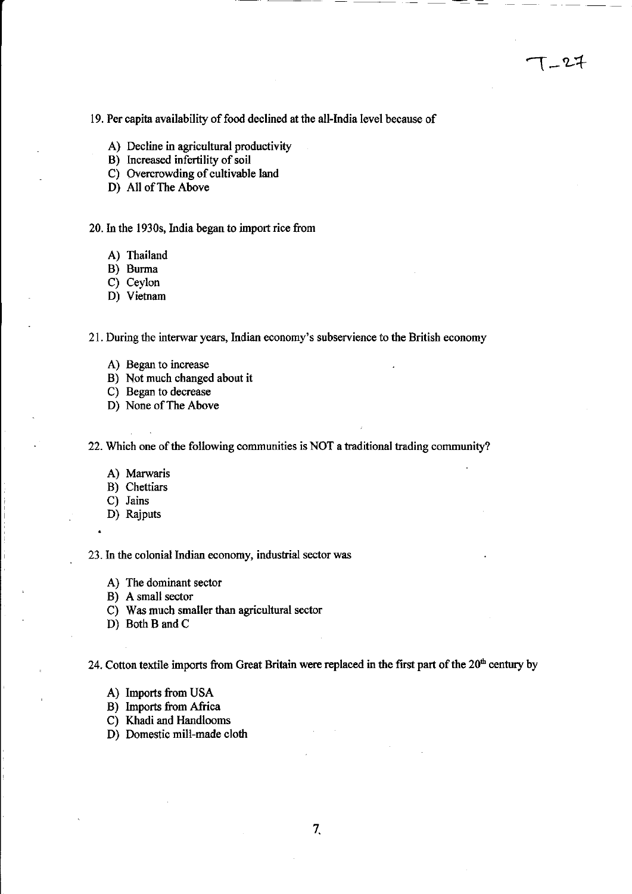19. Per capita availability of food declined at the all-India level because of

T\_27

A) Decline in agricultural productivity

B) Increased infertility of soil

C) Overcrowding of cultivable land

D) All of The Above

20. In the 1930s, India began to import rice from

A) Thailand

B) Burma

C) Ceylon

D) Vietnam

2l . During the interwar years, lndian economy's subservience to the British economy

- A) Began to increase
- B) Not much changed about it
- C) Began to decrease
- D) None of The Above

22. Which one of the following communities is NOT a traditional trading community?

- A) Marwaris
- B) Chettiars
- C) Jains
- D) Rajputs

.

23. ln the colonial Indian economy, industial sector was

- A) The dominant sector
- B) A small sector
- C) Was much smaller than agricultural sector
- D) Both B and C

24. Cotton textile imports from Great Britain were replaced in the first part of the  $20<sup>th</sup>$  century by

- A) Imports from USA
- B) Imports from Africa

C) Khadi and Handlooms

D) Domestic mill-made cloth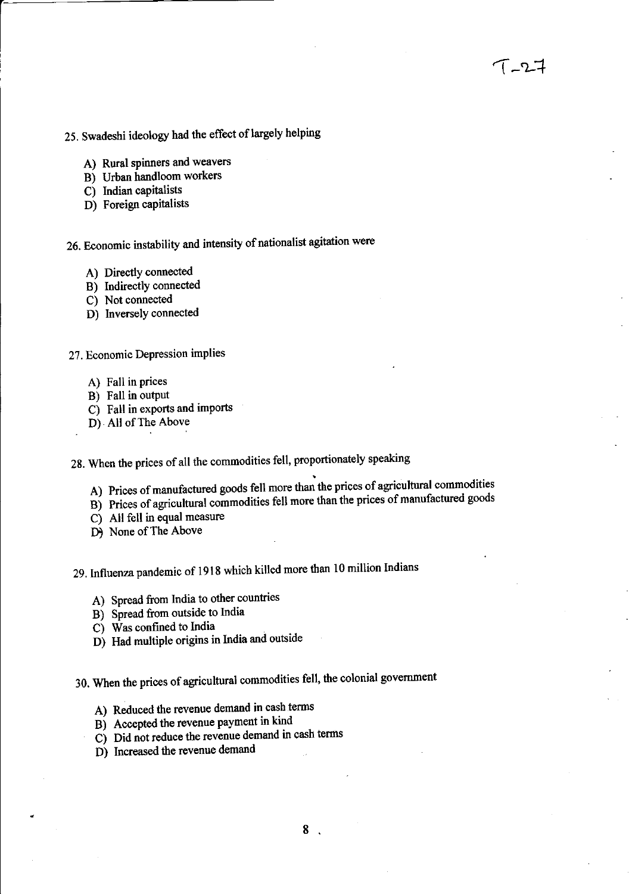- 25. Swadeshi ideology had the effect of largely helping
	- A) Rural spinners and weavers
	- B) Urban handloom workers
	- C) Indian oapitalists
	- D) Foreign capitalists

26. Economic instability and intensity of nationalist agitation were

- A) Directly connected
- B) Indirectly connected
- C) Not connected
- D) Inversely connected

27. Economic Depression implies

- A) Fall in prices
- B) Fall in output
- C) Fall in exports and imports
- D) All of The Above

28. When the prices of all the commodities fell, proportionately speaking

- A) Prices of manufactured goods fell more than the prices of agricultural commodities
- if it is the commodities fell more than the prices of manufactured goods<br>B) Prices of agricultural commodities fell more than the prices of manufactured goods
- $C$ ) All fell in equal measure
- D) None of The Above

29. Influenza pandemic of 1918 which killed more than 10 million Indians

- A) Spread from India to other countries
- B) Spread from outside to India
- C) Was confrned to India
- D) Had multiple origins in India and outside
- 30. When the prices of agricultural commodities fell, the colonial government
	- A) Reduced the revenue demand in cash terms
	- Bj Acoepted the revenue payment in kind
	- E) Accepted the revenue payment in kind.<br>C) Did not reduce the revenue demand in cash terms
	- D) Increased the revenue demand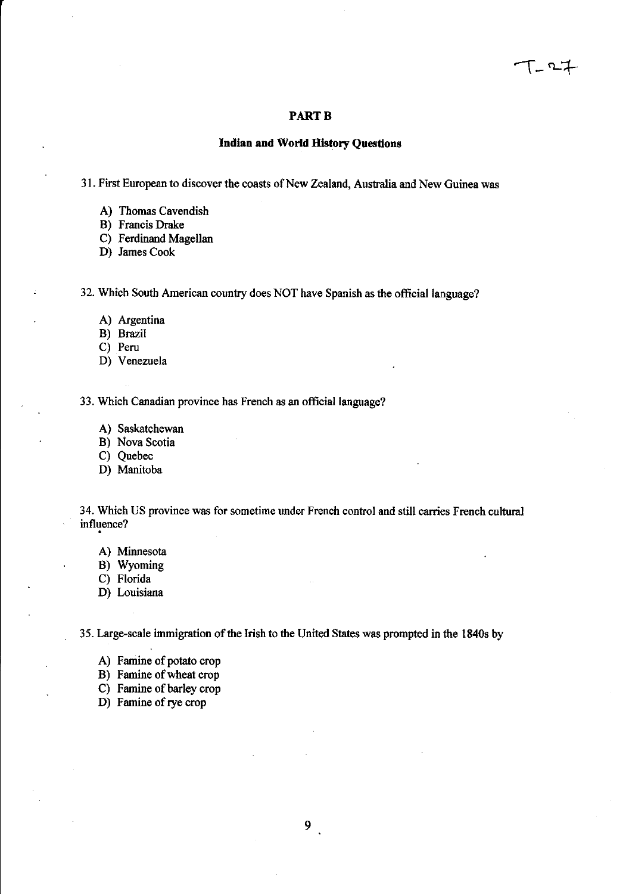#### **PART B**

### Indian and World History Questions

31. First European to discover the coasts of New Zealand, Australia and New Guinea was

- A) Thomas Cavendish
- B) Francis Drake
- C) Ferdinand Magellan
- D) James Cook

32. Which South American country does NOT have Spanish as the official language?

- A) Argentina
- B) Brazil
- C) Peru
- D) Venezuela

33. Which Canadian province has French as an official language?

- A) Saskatchewan
- B) Nova Scotia
- C) Quebec
- D) Manitoba

34. Which US province was for sometime under French control and still carries French cultural influence?

- A) Minnesota
- B) Wyoming
- C) Florida
- D) Louisiana

35. Large-scale immigration of the Irish to the United States was prompted in the 1840s by

- A) Famine of potato crop
- B) Famine of wheat crop
- C) Famine of barley crop
- D) Famine of rye crop

 $9<sub>1</sub>$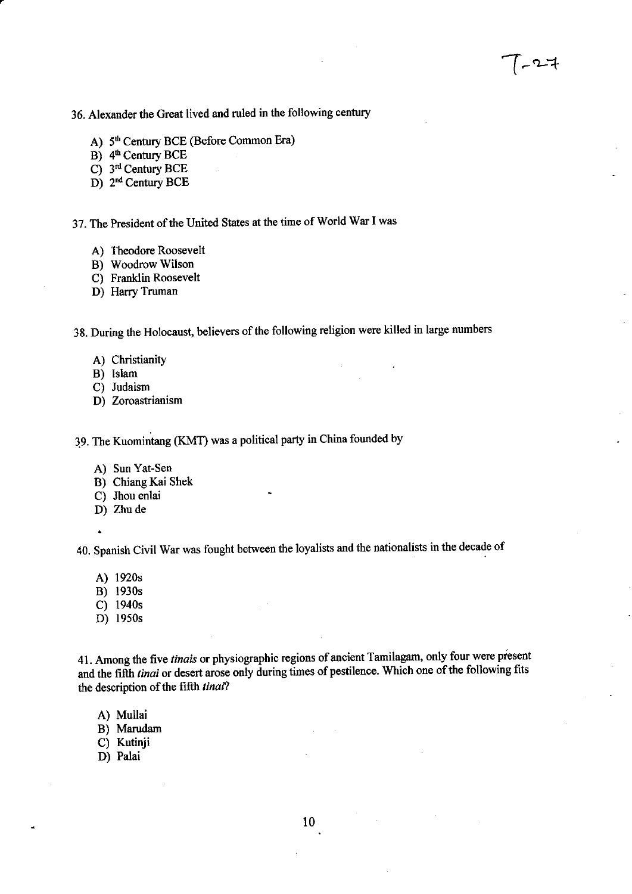36. Alexander the Great lived and ruled in the following century

- A) 5<sup>th</sup> Century BCE (Before Common Era)
- $\overrightarrow{B}$ ) 4<sup>th</sup> Century BCE
- C) 3<sup>rd</sup> Century BCE
- D) 2<sup>nd</sup> Century BCE

37. The President of the United States at the time of World War I was

- A) Theodore Roosevelt
- B) Woodrow Wilson
- C) Franklin Roosevelt
- D) Harry Truman

38. During the Holocaust, believers of the following religion were killed in large numbers

- A) Christianity
- B) Islam
- C) Judaism
- D) Zoroastrianism

19. The Kuomintang (KMT) was a political paay in China founded by

- A) Sun Yat-Sen
- B) Chiang Kai Shek
- C) Jhou enlai
- D) Zhu de
- $\ddot{\phantom{0}}$

40. spanish civil war was fought between the loyalists and the nationalists in the decade of

- A) 1920s
- B) 1930s
- C) 1940s
- D) 1950s

41. Among the five *tinais* or physiographic regions of ancient Tamilagam, only four were present and the fifth tinai or desert arose only during times of pestilence. Which one of the following fits the description of the fifth tinai?

A) Mullai

B) Marudam

- C) Kutinji
- D) Palai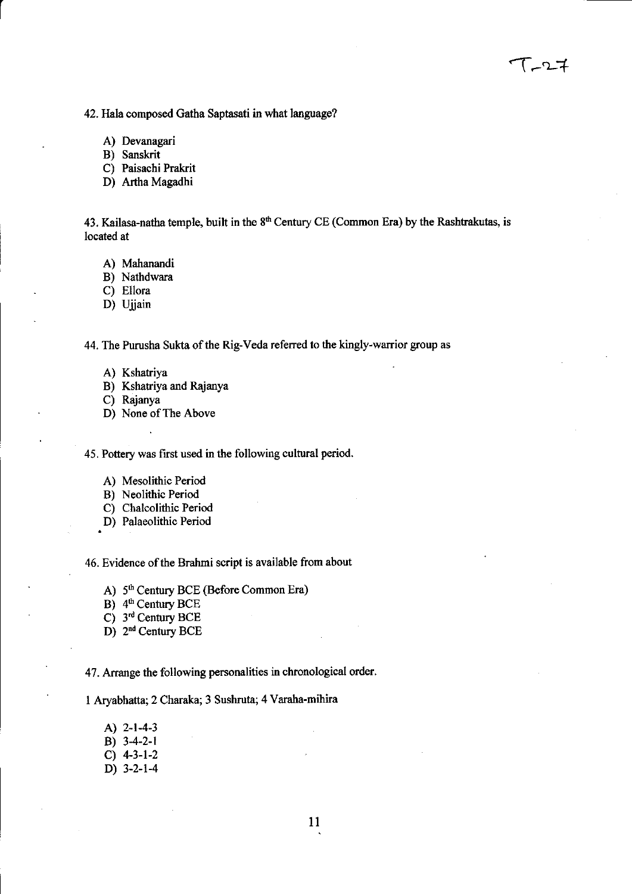42. Hala composed Gatha Saptasati in what language?

A) Devanagari

B) Sanskrit

C) Paisachi Prakrit

D) Artha Magadhi

43. Kailasa-natha temple, built in the  $8<sup>th</sup>$  Century CE (Common Era) by the Rashtrakutas, is located at

A) Mahanandi

B) Nathdwara

C) Ellora

D) Ujjain

44. The Purusha Sukta of the Rig-Veda referred to the kingly-warrior group as

- A) Kshatriya
- B) Kshatriya and Rajanya
- C) Rajanya
- D) None of The Above

45. Pottery was first used in the following cultural period.

- A) Mesolithic Period
- B) Neolithic Period
- C) Chalcolithic Period
- .D) Palaeolithic Period

46. Evidence of the Brahmi script is available from about

A) 5<sup>th</sup> Century BCE (Before Common Era)

B) 4<sup>th</sup> Century BCE

C) 3rd Century BCE

D) 2<sup>nd</sup> Century BCE

47. Arrange the following personalities in chronological order.

1 Aryabhatta;2 Charaka; 3 Sushruta; 4 Varaha-mihira

- A) 2-t-4-3
- B) 34-2-l
- $C)$  4-3-1-2
- D) 3-2-14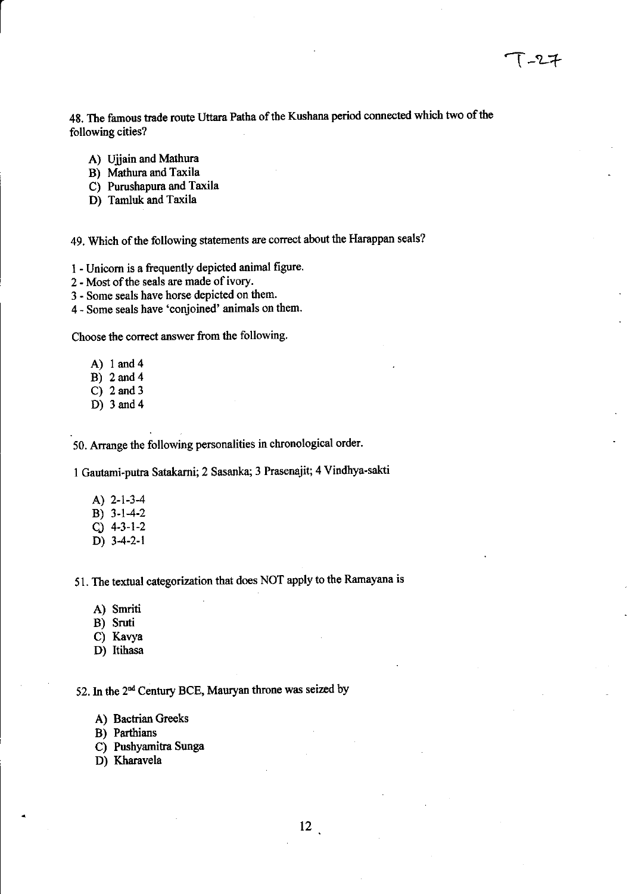48. The famous trade route Uttara Patha of the Kushana period connected which two of the following cities?

- A) Ujjain and Mathura
- B) Mathura and Taxila
- C) Purushapura and Taxila
- D) Tamluk and Taxila

49. Which of the following statements are correct about the Harappan seals?

<sup>1</sup>- Unioom is a froquently depicted animal figure.

- 2 Most of the seals are made of ivory,
- 3 Some seals have horse depicted on them.
- 4 Some seals have 'conjoined' animals on them.

Choose the correct answer from the following.

- A) I and4
- B) 2and4
- C) 2and3
- D) 3and4

50. Arrange the following personalities in chronological order.

1 Gautami-putra Satakarni; 2 Sasanka; 3 Prasenajit; 4 Vindhya-sakti

- A) 2-t-3-4 B) 3-1-4-2
- cJ 4-3-l-2
- D) 34-2-l

51. The textual categorization that does NOT apply to the Ramayana is

- A) Smriti
- B) Sruti
- C) Kavya
- D) Itihasa

52. In the 2<sup>nd</sup> Century BCE, Mauryan throne was seized by

- A) Bactrian Greeks
- B) Parthians
- C) Pushyamitra Sunga
- D) Kharavela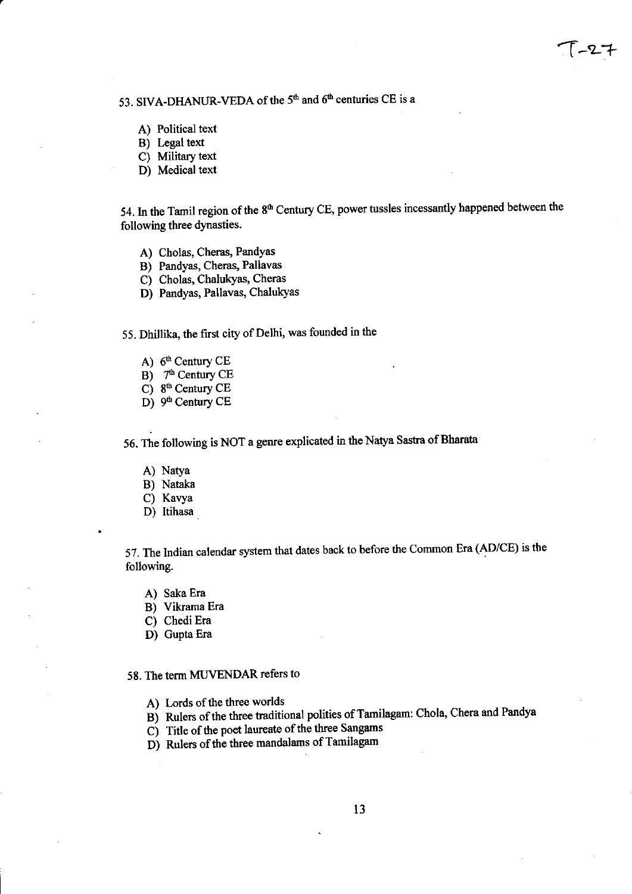53. SIVA-DHANUR-VEDA of the  $5<sup>th</sup>$  and  $6<sup>th</sup>$  centuries CE is a

- A) Political text
- B) Legal text
- C) Military text
- D) Medical text

54. In the Tamil region of the 8<sup>th</sup> Century CE, power tussles incessantly happened between the following three dynasties.

- A) Cholas, Cheras, Pandyas
- B) Pandyas, Cheras, Pallavas
- C) Cholas, ChalukYas, Cheras
- D) Pandyas, Pallavas, ChalukYas

55. Dhillika, the first city of Delhi, was founded in the

- A)  $6<sup>th</sup>$  Century CE
- B) 7<sup>th</sup> Century CE
- C) 8<sup>th</sup> Century CE
- D) 9<sup>th</sup> Century CE

56. The following is NOT a genre explicated in the Natya Sastra of Bharata

- A) NatYa
- B) Nataka
- C) Kavya
- D) Itihasa

57. The Indian calendar system that dates back to before the Common Era (AD/CE) is the following.

- A) Saka Era
- B) Vikrama Era
- C) Chedi Era
- D) Gupta Era

### 58. The term MUVENDAR refers to

- A) Lords of the three worlds
- B) Rulers of the three traditional polities of Tamilagam: Chola, Chera and Pandya
- $\overline{C}$ ) Title of the poet laureate of the three Sangams
- D) Rulers of the three mandalams of Tamilagam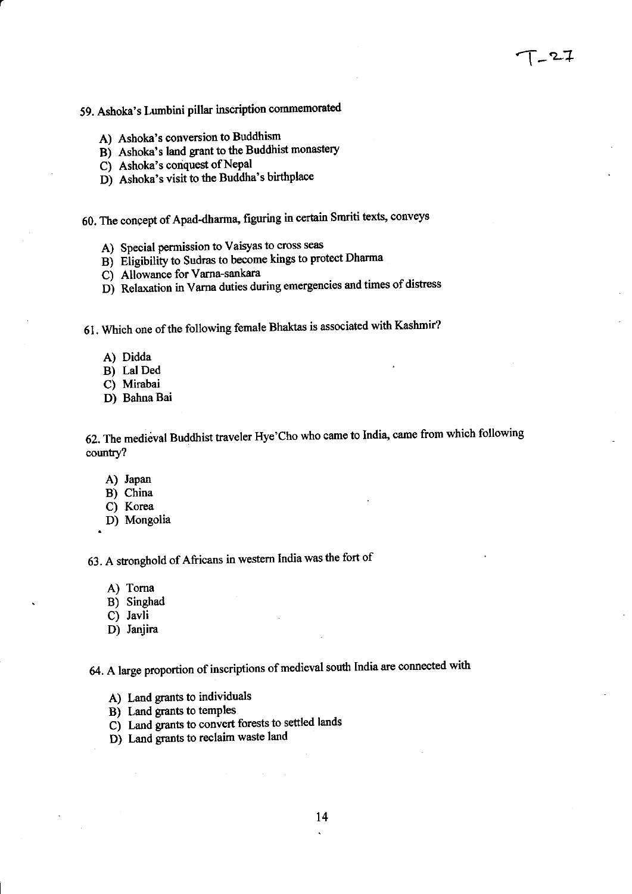# 59. Ashoka's Lumbini pillar inscription commemorated

- A) Ashoka's conversion to Buddhism
- B) Ashoka's land grant to the Buddhist monastery
- C) Ashoka's conquest of Nepal
- Dj Ashoka's visit to the Buddha's birthplace
- 60. The concept of Apad-dharma, figuring in certain Smriti texts, conveys
	- A) Special permission to Vaisyas to cross seas
	- B) Eligibility to Sudras to become kings to protect Dharma
	- C) Allowance for Vama-sankara
	- D) Relaxation in Varna duties during emergencies and times of distress
- 6l . Which one of the following female Bhakas is associated with Kashmir?
	- A) Didda
	- B) Lal Ded
	- C) Mirabai
	- D) Bahna Bai

62. The medieval Buddhist traveler Hye'Cho who came to India, came from which following country?

- A) Japan
- B) China
- C) Korea
- D) Mongolia

<sup>63</sup>. A stronghold of Africans in westem India was the fort of

- A) Toma
- B) Singhad
- C) Javli
- D) Janjira
- 64. A large proportion of inscriptions of medieval south India are connected with
	- A) Land grants to individuals
	- B) Land grants to temples
	- C<sub>i</sub> Land grants to convert forests to settled lands
	- D) Land grants to reclaim waste land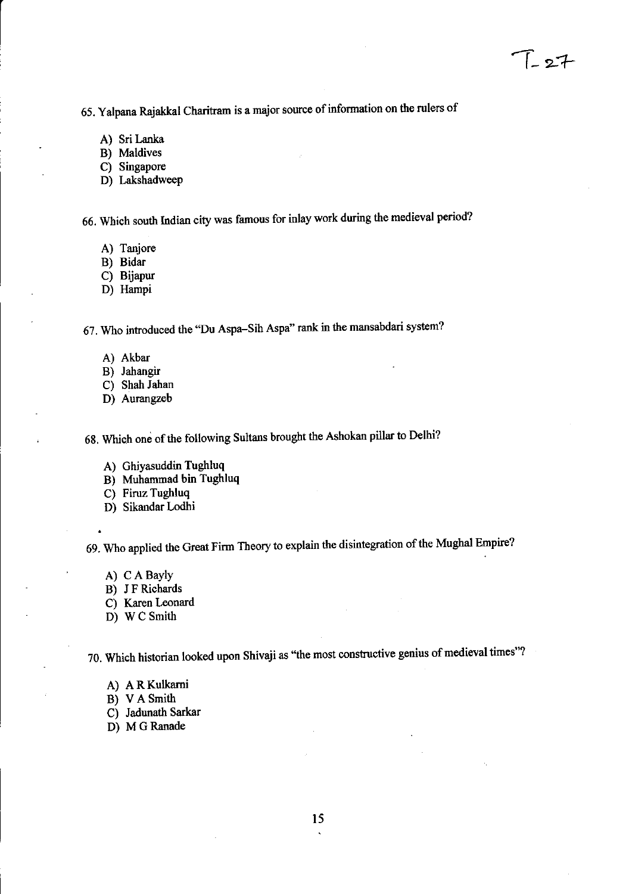65. Yalpana Rajakkal Charitram is a major source of information on the rulers of

- A) Sri Lanka
- B) Maldives
- C) Singapore
- D) Lakshadweep

66. Which south Indian city was famous for inlay work during the medieval period?

- A) Tanjore
- B) Bidar
- C) Bijapur
- D) Hampi

67. Who introduced the "Du Aspa-Sih Aspa'' rank in the mansabdari system?

- A) Akbar
- B) Jahangir
- C) Shah Jahan
- D) Aurangzeb

68. Which one of the following Sultans brought the Ashokan pillar to Delhi?

- A) Ghiyasuddin Tughluq
- B) Muhammad bin Tughluq
- C) Firuz Tughluq
- D) Sikandar Lodhi

69. Who applied the Great Firm Theory to explain the disintegration of the Mughal Empire?

- A) C A BaYIY
- B) J F Richards
- C) Karen Leonard
- D) W C Smith

70. Which historian looked upon Shivaji as "the most constructive genius of medieval times"?

- A) A RKulkami
- B) VASnith
- C) Jadunath Sarkar
- D) M G Ranade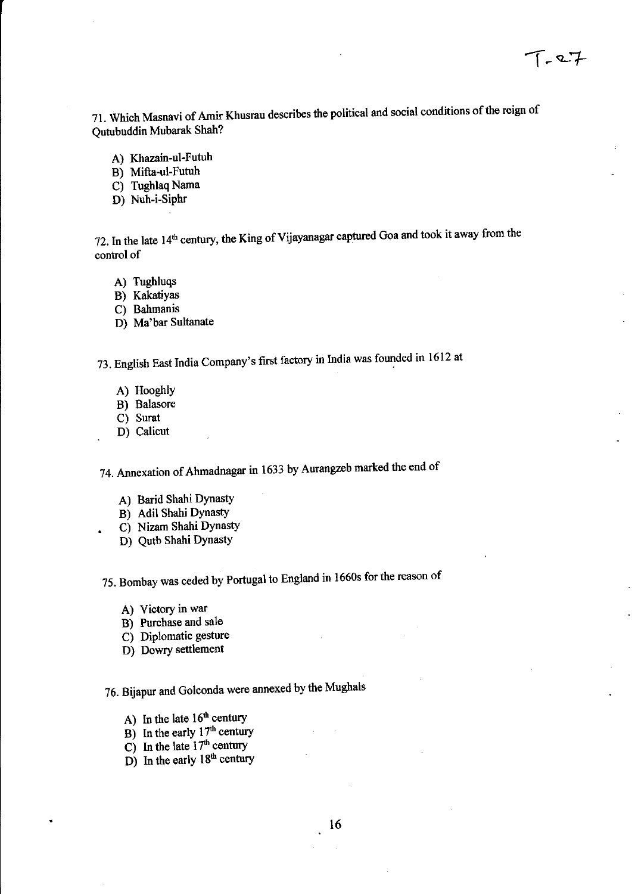<sup>7</sup>1 . Which Masnavi of Amir Khusrau describes the political and social conditions of the reign of Qutubuddin Mubarak Shah?

- A) Khazain-ul-Futuh
- B) Mifta-ul-Futuh
- C) Tughlaq Nama
- D) Nuh-i-Siphr

72. In the late 14<sup>th</sup> century, the King of Vijayanagar captured Goa and took it away from the control of

- A) Tughluqs
- B) Kakatiyas
- C) Bahmanis
- D) Ma'bar Sultanate

73. English East India Company's first factory in India was founded in 1612 at

- A) HooghlY
- B) Balasore
- C) Surat
- . D) Calicut

74. Annexation of Ahmadnagar in 1633 by Aurangzeb marked the end of

- A) Barid Shahi DYnastY
- B) Adil Shahi Dynasty
- . C) Nizam Shahi DYnastY
- D) Qutb Shahi DYnastY

75. Bombay was ceded by Portugal to England in 1660s for the reason of

- A) Victory in war
- B) Purchase and sale
- C) DiPlomatic gesture
- D) Dowry settlement

76. Bijapur and Golconda were annexed by the Mughals

- A) In the late  $16<sup>th</sup>$  century
- B) In the early  $17<sup>th</sup>$  century
- $\overrightarrow{C}$  In the late 17<sup>th</sup> century
- $D$ ) In the early 18<sup>th</sup> century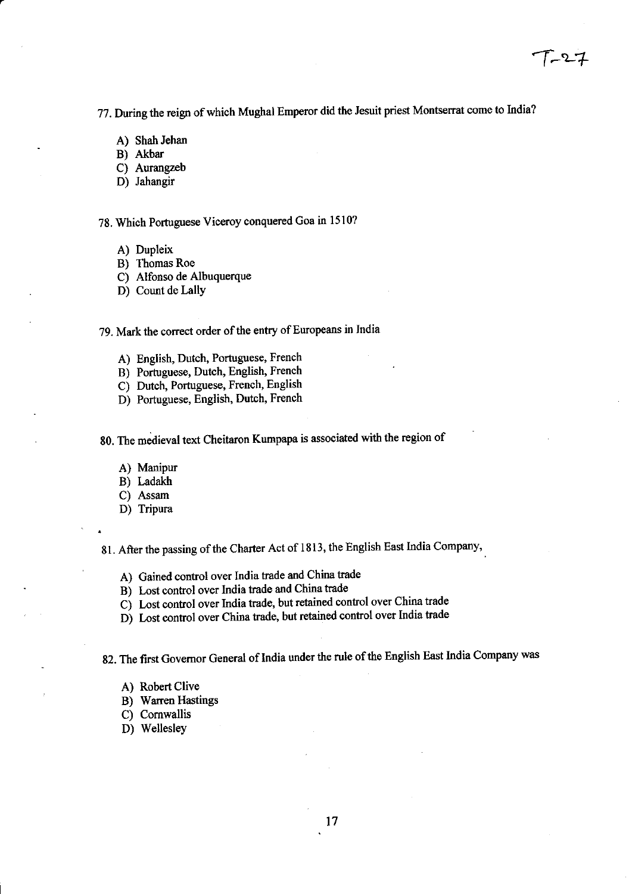T-27

77. During the reign of which Mughal Emperor did the Jesuit priest Montserrat come to India?

- A) Shah Jehan
- B) Akbar
- C) Aurangzeb
- D) Jahangir

### 78. Which Portuguese Viceroy conquered Goa in 1510?

- A) Dupleix
- B) Thomas Roe
- C) Alfonso de Albuquerque
- D) Count de Lally

### 79. Mark the conect order of the entry of Europeans in India

- A) English, Dutch, Portuguese, French
- B) Portuguese, Dutch, English, French
- C) Dutch, Portuguese, French, English
- D) Portuguese, English, Dutch, French
- 80. The medieval text Cheitaron Kumpapa is associated with the region of
	- A) Manipur
	- B) Ladakh
	- C) Assam
	- D) Tripura

81. After the passing of the Charter Act of 1813, the English East India Company,

- A) Gained control over lndia trade and China tade
- B) Lost control over India trade and China trade
- Cj Lost contol over India trade, but retainod control over China trade
- D) Lost control over China trade, but retained control over India trade

82. The frst Govemor General of India under the rule of the English East India company was

- A) Robert Clive
- B) Wanen Hastings
- C) Comwallis
- D) Wellesley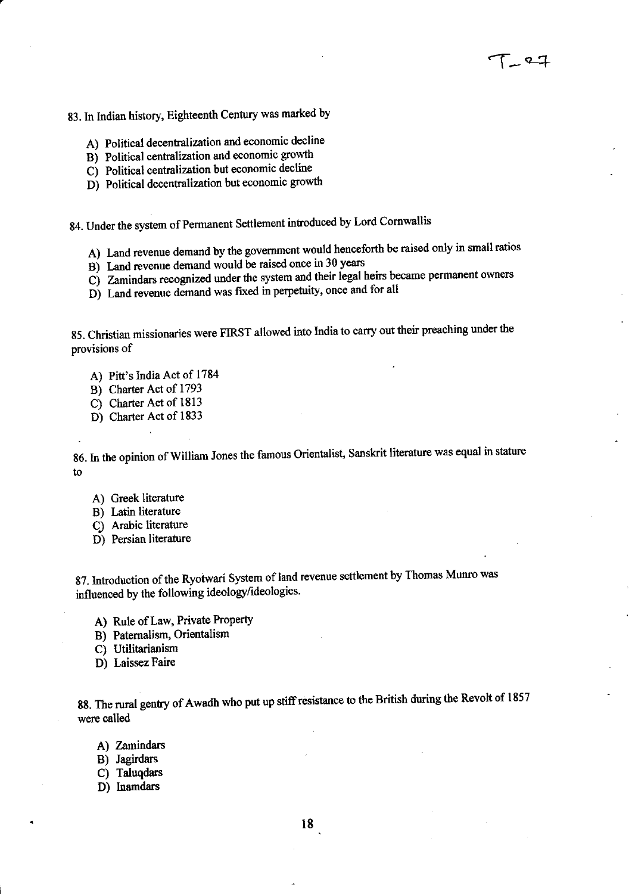$1 - 27$ 

83. In Indian history, Eighteenth Century was marked by

- A) Political decentralization and economic decline
- Bi Political centralization and economic grouth
- C) Political centralization but eoonomic decline
- D) Political decentralization but economic growth

84. Under the system of Permanent Settlement introduced by Lord Cornwallis

- A) Land revenue demand by the government would henceforth be raised only in small ratios
- Bj Land revenue demand would be raised oncc in 30 years
- C) Zamindars recognized under the system and their legal heirs became permanent owners
- D) Land revenue demand was fixed in perpetuity, once and for all

g5. Christian missionaries were FIRST allowed into India to carry out their preaching under the provisions of

- A) Pitt's India Act of <sup>1784</sup>
- B) Charter Act of <sup>1793</sup>
- C) Charter Act of 1813
- D) Charter Act of 1833

86. In the opinion of William Jones the famous Orientalist, Sanskrit literature was equal in stature to

- A) Greek literature
- B) Latin literature
- C) Arabic literature
- D) Persian literature

87. Introduction of the Ryotwari System of land revenue settlement by Thomas Munro was influenced by the following ideology/ideologies.

- A) Rule of Law, Private Property
- B) Paternalism, Orientalism
- C) Utilitarianism
- D) Laissez Faire

88. The rural gentry of Awadh who put up stiff resistance to the British during the Revolt of 1857 were called

- A) Zamindars
- B) Jagirdars
- C) Taluqdars
- D) Inamdars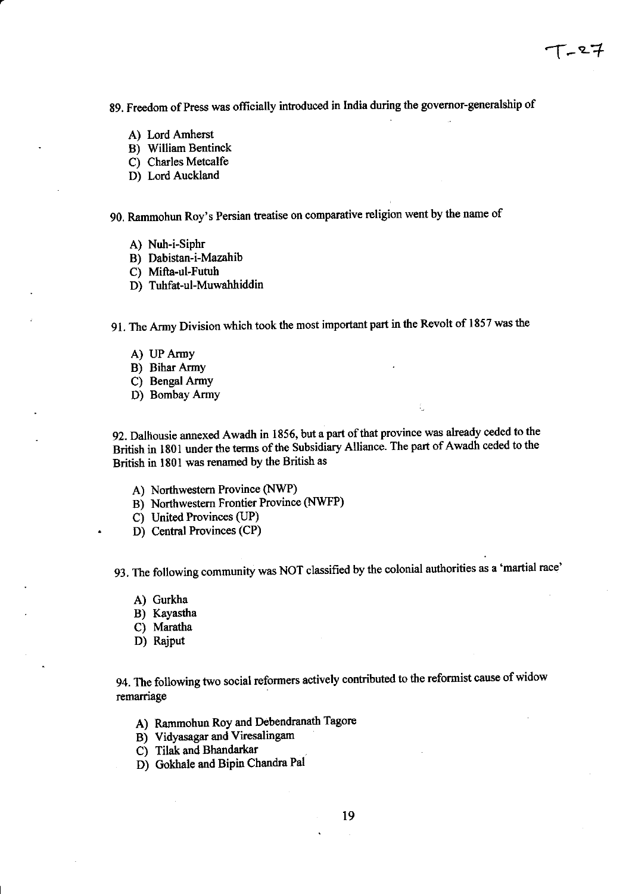89. Freedom of Press was officially introduced in India during the governor-generalship of

- A) Lord Amherst
- B) William Bentinck
- C) Charles Metcalfe
- D) Lord Auckland

90. Rammohun Roy's Persian treatise on comparative religion went by the name of

- A) Nuh-i-Siphr
- B) Dabistan-i-Mazahib
- C) Mifta-ul-Futuh
- D) Tuhfat-ul-Muwahhiddin

gl. The Army Division which took the most important part in the Revolt of 1857 was the

- A) UP Army
- B) Bihar ArmY
- C) Bengal ArmY
- D) Bombay Army

92. Dalhousie annexed Awadh in 1856, but a part of that province was already ceded to the British in 1801 under the terms of the Subsidiary Alliance. The part of Awadh ceded to the British in l80l was renamed by the British as

- A) Northwestern Province (NWP)
- B) Northwestern Frontier Province (NWFP)
- C) United Provinces (JP)
- . D) Central Provinces (CP)

93. The following community was NOT classified by the colonial authorities as a 'martial race'

- A) Gurkha
- B) Kayastha
- C) Maratha
- D) Rajput

94. The following two social reformers actively contributed to the reformist cause of widow remarriage

- A) Rammohun Roy and Debendranath Tagore
- B) Vidyasagar and Viresalingam
- C) Tilak and Bhandarkar
- D) Gokhale and Bipin Chandra Pal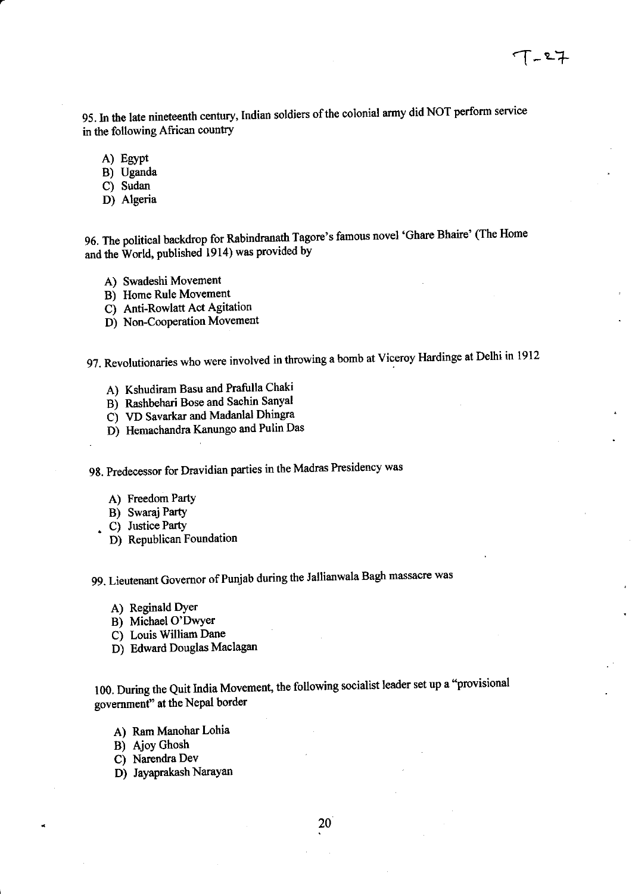95. In the late nineteenth century, Indian soldiers of the colonial army did NOT perform service in the following African country

- A) Egypt
- B) Uganda
- C) Sudan
- D) Algeria

96. The political backdrop for Rabindranath Tagore's famous novel 'Ghare Bhaire' (The Home and the World, published 1914) was provided by

- A) Swadeshi Movement
- B) Home Rule Movement
- C) Anti-Rowlatt Act Agitation
- D) Non-Cooperation Movement

97. Revolutionaries who were involved in throwing a bomb at Viceroy Hardinge at Delhi in <sup>1912</sup>

- A) Kshudiram Basu and Prafulla Chaki
- B) Rashbehari Bose and Sachin Sanyal
- C) VD Savarkar and Madanlal Dhingra
- D) Hemachandra Kanungo and Pulin Das

98. Predecessor for Dravidian parties in the Madras Presidency was

- A) Freedom PartY
- B) Swaraj PartY
- . C) Justice Party
- D) Republican Foundation

99. Lieutenant Govemor of Punjab during the Jallianwala Bagh massacre was

- A) Reginald DYer
- B) Michael O'DwYer
- C) Louis William Dane
- D) Edward Douglas Maclagan

100. During the Quit India Movement, the following socialist leader set up a "provisional government" at the Nepal border

- A) Ram Manohar Lohia
- B) Ajoy Ghosh
- C) Narendra Dev
- D) Jayaprakash Narayan